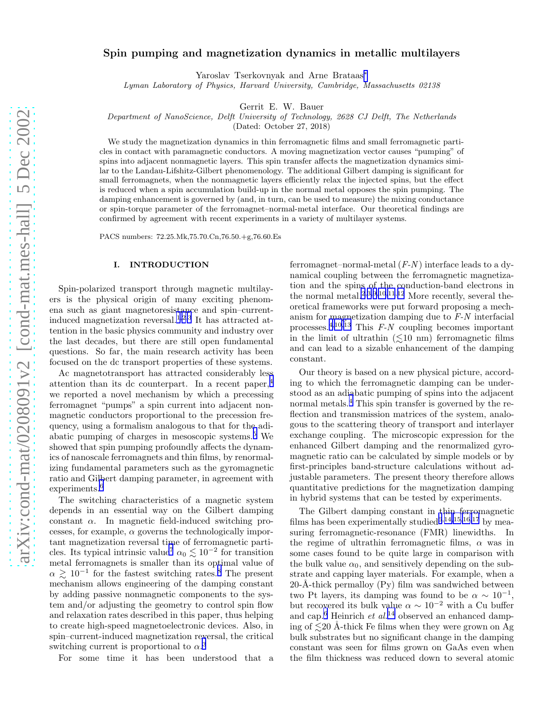# Spin pumping and magnetization dynamics in metallic multilayers

Yaroslav Tserkovnyak and Arne Brataas[∗](#page-9-0)

Lyman Laboratory of Physics, Harvard University, Cambridge, Massachusetts 02138

Gerrit E. W. Bauer

Department of NanoScience, Delft University of Technology, 2628 CJ Delft, The Netherlands

(Dated: October 27, 2018)

We study the magnetization dynamics in thin ferromagnetic films and small ferromagnetic particles in contact with paramagnetic conductors. A moving magnetization vector causes "pumping" of spins into adjacent nonmagnetic layers. This spin transfer affects the magnetization dynamics similar to the Landau-Lifshitz-Gilbert phenomenology. The additional Gilbert damping is significant for small ferromagnets, when the nonmagnetic layers efficiently relax the injected spins, but the effect is reduced when a spin accumulation build-up in the normal metal opposes the spin pumping. The damping enhancement is governed by (and, in turn, can be used to measure) the mixing conductance or spin-torque parameter of the ferromagnet–normal-metal interface. Our theoretical findings are confirmed by agreement with recent experiments in a variety of multilayer systems.

PACS numbers: 72.25.Mk,75.70.Cn,76.50.+g,76.60.Es

## I. INTRODUCTION

Spin-polarized transport through magnetic multilayers is the physical origin of many exciting phenomena such as giant magnetoresistance and spin–currentinduced magnetization reversal.[1,2,3](#page-9-0) It has attracted attention in the basic physics community and industry over the last decades, but there are still open fundamental questions. So far, the main research activity has been focused on the dc transport properties of these systems.

Ac magnetotransport has attracted considerably less attention than its dc counterpart. In a recent paper,[4](#page-9-0) we reported a novel mechanism by which a precessing ferromagnet "pumps" a spin current into adjacent nonmagnetic conductors proportional to the precession frequency, using a formalism analogous to that for the adiabatic pumping of charges in mesoscopic systems.[5](#page-9-0) We showed that spin pumping profoundly affects the dynamics of nanoscale ferromagnets and thin films, by renormalizing fundamental parameters such as the gyromagnetic ratio and Gilbert damping parameter, in agreement with experiments.<sup>[6](#page-9-0)</sup>

The switching characteristics of a magnetic system depends in an essential way on the Gilbert damping constant  $\alpha$ . In magnetic field-induced switching processes, for example,  $\alpha$  governs the technologically important magnetization reversal time of ferromagnetic parti-cles. Its typical intrinsic value<sup>[7](#page-9-0)</sup>  $\alpha_0 \lesssim 10^{-2}$  for transition metal ferromagnets is smaller than its optimal value of  $\alpha \gtrsim 10^{-1}$  for the fastest switching rates.<sup>[8](#page-9-0)</sup> The present mechanism allows engineering of the damping constant by adding passive nonmagnetic components to the system and/or adjusting the geometry to control spin flow and relaxation rates described in this paper, thus helping to create high-speed magnetoelectronic devices. Also, in spin–current-induced magnetization reversal, the critical switching current is proportional to  $\alpha$ <sup>[3](#page-9-0)</sup>

For some time it has been understood that a

ferromagnet–normal-metal  $(F-N)$  interface leads to a dynamical coupling between the ferromagnetic magnetization and the spins of the conduction-band electrons in the normal metal.[2](#page-9-0),[3,9,10,11](#page-9-0),[12](#page-9-0) More recently, several theoretical frameworks were put forward proposing a mechanism for magnetization damping due to F-N interfacial processes.<sup>[4,10,13](#page-9-0)</sup> This  $F-N$  coupling becomes important in the limit of ultrathin  $(\leq 10 \text{ nm})$  ferromagnetic films and can lead to a sizable enhancement of the damping constant.

Our theory is based on a new physical picture, according to which the ferromagnetic damping can be understood as an adiabatic pumping of spins into the adjacent normal metals.<sup>[4](#page-9-0)</sup> This spin transfer is governed by the reflection and transmission matrices of the system, analogous to the scattering theory of transport and interlayer exchange coupling. The microscopic expression for the enhanced Gilbert damping and the renormalized gyromagnetic ratio can be calculated by simple models or by first-principles band-structure calculations without adjustable parameters. The present theory therefore allows quantitative predictions for the magnetization damping in hybrid systems that can be tested by experiments.

The Gilbert damping constant in thin ferromagnetic films has been experimentally studied<sup>[6](#page-9-0),[14,15,16,17](#page-9-0)</sup> by measuring ferromagnetic-resonance (FMR) linewidths. In the regime of ultrathin ferromagnetic films,  $\alpha$  was in some cases found to be quite large in comparison with the bulk value  $\alpha_0$ , and sensitively depending on the substrate and capping layer materials. For example, when a  $20-A-thick$  permalloy  $(Py)$  film was sandwiched between two Pt layers, its damping was found to be  $\alpha \sim 10^{-1}$ , but recovered its bulk value  $\alpha \sim 10^{-2}$  with a Cu buffer and cap.<sup>[6](#page-9-0)</sup> Heinrich et  $al.^{14}$  $al.^{14}$  $al.^{14}$  observed an enhanced damping of  $\leq 20$  Å-thick Fe films when they were grown on Ag bulk substrates but no significant change in the damping constant was seen for films grown on GaAs even when the film thickness was reduced down to several atomic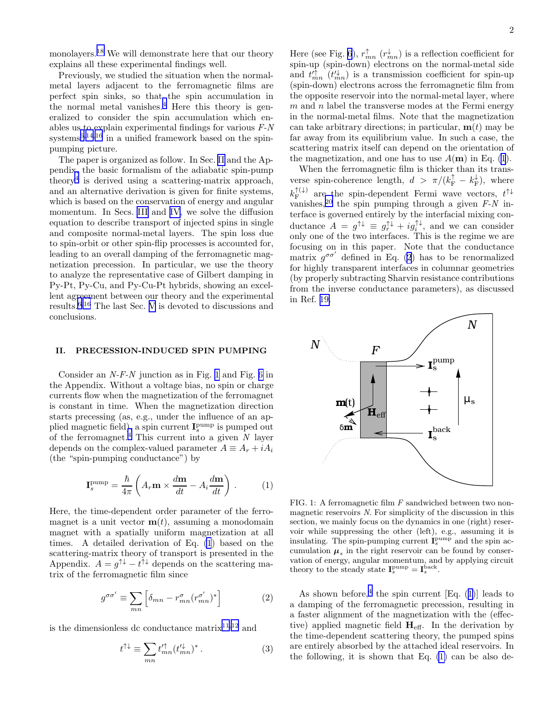<span id="page-1-0"></span>monolayers.<sup>[18](#page-9-0)</sup> We will demonstrate here that our theory explains all these experimental findings well.

Previously, we studied the situation when the normalmetal layers adjacent to the ferromagnetic films are perfect spin sinks, so that the spin accumulation in the normal metal vanishes.[4](#page-9-0) Here this theory is generalized to consider the spin accumulation which enables us to explain experimental findings for various F-N  $s$ ystems<sup>[6,14,16](#page-9-0)</sup> in a unified framework based on the spinpumping picture.

The paper is organized as follow. In Sec. II and the Appendix, the basic formalism of the adiabatic spin-pump theory[4](#page-9-0) is derived using a scattering-matrix approach, and an alternative derivation is given for finite systems, which is based on the conservation of energy and angular momentum. In Secs. [III](#page-2-0) and [IV,](#page-5-0) we solve the diffusion equation to describe transport of injected spins in single and composite normal-metal layers. The spin loss due to spin-orbit or other spin-flip processes is accounted for, leading to an overall damping of the ferromagnetic magnetization precession. In particular, we use the theory to analyze the representative case of Gilbert damping in Py-Pt, Py-Cu, and Py-Cu-Pt hybrids, showing an excellent agreement between our theory and the experimental results.[6,16](#page-9-0) The last Sec. [V](#page-7-0) is devoted to discussions and conclusions.

### II. PRECESSION-INDUCED SPIN PUMPING

Consider an  $N-F-N$  junction as in Fig. 1 and Fig. [6](#page-8-0) in the Appendix. Without a voltage bias, no spin or charge currents flow when the magnetization of the ferromagnet is constant in time. When the magnetization direction starts precessing (as, e.g., under the influence of an applied magnetic field), a spin current  $I_s^{\text{pump}}$  is pumped out of the ferromagnet.<sup>[4](#page-9-0)</sup> This current into a given  $N$  layer depends on the complex-valued parameter  $A \equiv A_r + iA_i$ (the "spin-pumping conductance") by

$$
\mathbf{I}_s^{\text{pump}} = \frac{\hbar}{4\pi} \left( A_r \mathbf{m} \times \frac{d\mathbf{m}}{dt} - A_i \frac{d\mathbf{m}}{dt} \right) . \tag{1}
$$

Here, the time-dependent order parameter of the ferromagnet is a unit vector  $\mathbf{m}(t)$ , assuming a monodomain magnet with a spatially uniform magnetization at all times. A detailed derivation of Eq. (1) based on the scattering-matrix theory of transport is presented in the Appendix.  $A = g^{\uparrow \downarrow} - t^{\uparrow \downarrow}$  depends on the scattering matrix of the ferromagnetic film since

$$
g^{\sigma\sigma'} \equiv \sum_{mn} \left[ \delta_{mn} - r_{mn}^{\sigma} (r_{mn}^{\sigma'})^* \right]
$$
 (2)

is the dimensionless dc conductance matrix<sup>[11,12](#page-9-0)</sup> and

$$
t^{\uparrow\downarrow} \equiv \sum_{mn} t_{mn}^{\prime\uparrow} (t_{mn}^{\prime\downarrow})^* \,. \tag{3}
$$

Here (see Fig. [6](#page-8-0)),  $r_{mn}^{\uparrow}$   $(r_{mn}^{\downarrow})$  is a reflection coefficient for spin-up (spin-down) electrons on the normal-metal side and  $t_{mn}^{\prime \dagger}$  ( $t_{mn}^{\prime \downarrow}$ ) is a transmission coefficient for spin-up (spin-down) electrons across the ferromagnetic film from the opposite reservoir into the normal-metal layer, where  $m$  and  $n$  label the transverse modes at the Fermi energy in the normal-metal films. Note that the magnetization can take arbitrary directions; in particular,  $\mathbf{m}(t)$  may be far away from its equilibrium value. In such a case, the scattering matrix itself can depend on the orientation of the magnetization, and one has to use  $A(\mathbf{m})$  in Eq. (1).

When the ferromagnetic film is thicker than its transverse spin-coherence length,  $d > \pi/(k_{\rm F}^{\uparrow} - k_{\rm F}^{\downarrow})$ , where  $k^{\uparrow(\downarrow)}_{\rm F}$  $\int_{\mathbf{F}}^{\uparrow(\downarrow)}$  are the spin-dependent Fermi wave vectors,  $t^{\uparrow\downarrow}$ vanishes,<sup>[20](#page-9-0)</sup> the spin pumping through a given  $F-N$  interface is governed entirely by the interfacial mixing conductance  $A = g^{\uparrow \downarrow} \equiv g^{\uparrow \downarrow}_r + ig^{\uparrow \downarrow}_i$ , and we can consider only one of the two interfaces. This is the regime we are focusing on in this paper. Note that the conductance matrix  $g^{\sigma\sigma'}$  defined in Eq. (2) has to be renormalized for highly transparent interfaces in columnar geometries (by properly subtracting Sharvin resistance contributions from the inverse conductance parameters), as discussed in Ref. [19.](#page-9-0)



FIG. 1: A ferromagnetic film F sandwiched between two nonmagnetic reservoirs N. For simplicity of the discussion in this section, we mainly focus on the dynamics in one (right) reservoir while suppressing the other (left), e.g., assuming it is insulating. The spin-pumping current  $I_s^{pump}$  and the spin accumulation  $\mu_s$  in the right reservoir can be found by conservation of energy, angular momentum, and by applying circuit theory to the steady state  $\mathbf{I}_s^{\text{pump}} = \mathbf{I}_s^{\text{back}}$ .

As shown before,<sup>[4](#page-9-0)</sup> the spin current [Eq. (1)] leads to a damping of the ferromagnetic precession, resulting in a faster alignment of the magnetization with the (effective) applied magnetic field  $H_{\text{eff}}$ . In the derivation by the time-dependent scattering theory, the pumped spins are entirely absorbed by the attached ideal reservoirs. In the following, it is shown that Eq. (1) can be also de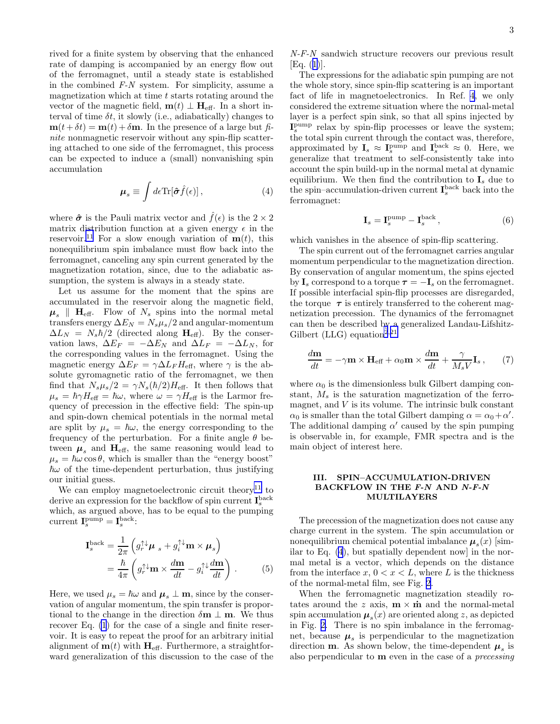<span id="page-2-0"></span>rived for a finite system by observing that the enhanced rate of damping is accompanied by an energy flow out of the ferromagnet, until a steady state is established in the combined  $F-N$  system. For simplicity, assume a magnetization which at time  $t$  starts rotating around the vector of the magnetic field,  $\mathbf{m}(t) \perp \mathbf{H}_{\text{eff}}$ . In a short interval of time  $\delta t$ , it slowly (i.e., adiabatically) changes to  $m(t + \delta t) = m(t) + \delta m$ . In the presence of a large but finite nonmagnetic reservoir without any spin-flip scattering attached to one side of the ferromagnet, this process can be expected to induce a (small) nonvanishing spin accumulation

$$
\mu_s \equiv \int d\epsilon \text{Tr}[\hat{\boldsymbol{\sigma}}\hat{f}(\epsilon)], \qquad (4)
$$

where  $\hat{\sigma}$  is the Pauli matrix vector and  $\hat{f}(\epsilon)$  is the  $2 \times 2$ matrix distribution function at a given energy  $\epsilon$  in the reservoir.<sup>[11](#page-9-0)</sup> For a slow enough variation of  $\mathbf{m}(t)$ , this nonequilibrium spin imbalance must flow back into the ferromagnet, canceling any spin current generated by the magnetization rotation, since, due to the adiabatic assumption, the system is always in a steady state.

Let us assume for the moment that the spins are accumulated in the reservoir along the magnetic field,  $\mu_s$  | H<sub>eff</sub>. Flow of  $N_s$  spins into the normal metal transfers energy  $\Delta E_N = N_s \mu_s / 2$  and angular-momentum  $\Delta L_N = N_s \hbar/2$  (directed along  $\mathbf{H}_{\text{eff}}$ ). By the conservation laws,  $\Delta E_F = -\Delta E_N$  and  $\Delta L_F = -\Delta L_N$ , for the corresponding values in the ferromagnet. Using the magnetic energy  $\Delta E_F = \gamma \Delta L_F H_{\text{eff}}$ , where  $\gamma$  is the absolute gyromagnetic ratio of the ferromagnet, we then find that  $N_s\mu_s/2 = \gamma N_s(\hbar/2)H_{\text{eff}}$ . It then follows that  $\mu_s = \hbar \gamma H_{\text{eff}} = \hbar \omega$ , where  $\omega = \gamma H_{\text{eff}}$  is the Larmor frequency of precession in the effective field: The spin-up and spin-down chemical potentials in the normal metal are split by  $\mu_s = \hbar \omega$ , the energy corresponding to the frequency of the perturbation. For a finite angle  $\theta$  between  $\mu_s$  and  $H_{\text{eff}}$ , the same reasoning would lead to  $\mu_s = \hbar \omega \cos \theta$ , which is smaller than the "energy boost"  $\hbar\omega$  of the time-dependent perturbation, thus justifying our initial guess.

We can employ magnetoelectronic circuit theory<sup>[11](#page-9-0)</sup> to derive an expression for the backflow of spin current  $I_s^{\text{back}}$ which, as argued above, has to be equal to the pumping current  $\mathbf{I}_s^{\text{pump}} = \mathbf{I}_s^{\text{back}}$ :

$$
\mathbf{I}_{s}^{\text{back}} = \frac{1}{2\pi} \left( g_{r}^{\uparrow \downarrow} \boldsymbol{\mu} \, s + g_{i}^{\uparrow \downarrow} \mathbf{m} \times \boldsymbol{\mu}_{s} \right)
$$
\n
$$
= \frac{\hbar}{4\pi} \left( g_{r}^{\uparrow \downarrow} \mathbf{m} \times \frac{d\mathbf{m}}{dt} - g_{i}^{\uparrow \downarrow} \frac{d\mathbf{m}}{dt} \right) . \tag{5}
$$

Here, we used  $\mu_s = \hbar \omega$  and  $\mu_s \perp \mathbf{m}$ , since by the conservation of angular momentum, the spin transfer is proportional to the change in the direction  $\delta \mathbf{m} \perp \mathbf{m}$ . We thus recover Eq. [\(1](#page-1-0)) for the case of a single and finite reservoir. It is easy to repeat the proof for an arbitrary initial alignment of  $\mathbf{m}(t)$  with  $\mathbf{H}_{\text{eff}}$ . Furthermore, a straightforward generalization of this discussion to the case of the

N-F-N sandwich structure recovers our previous result [Eq.([1\)](#page-1-0)].

The expressions for the adiabatic spin pumping are not the whole story, since spin-flip scattering is an important fact of life in magnetoelectronics. In Ref. [4](#page-9-0), we only considered the extreme situation where the normal-metal layer is a perfect spin sink, so that all spins injected by I<sup>pump</sup> relax by spin-flip processes or leave the system; the total spin current through the contact was, therefore, approximated by  $I_s \approx I_s^{\text{pump}}$  and  $I_s^{\text{back}} \approx 0$ . Here, we generalize that treatment to self-consistently take into account the spin build-up in the normal metal at dynamic equilibrium. We then find the contribution to  $\mathbf{I}_s$  due to the spin–accumulation-driven current  $I_s^{\text{back}}$  back into the ferromagnet:

$$
\mathbf{I}_s = \mathbf{I}_s^{\text{pump}} - \mathbf{I}_s^{\text{back}},\tag{6}
$$

which vanishes in the absence of spin-flip scattering.

The spin current out of the ferromagnet carries angular momentum perpendicular to the magnetization direction. By conservation of angular momentum, the spins ejected by  $I_s$  correspond to a torque  $\tau = -I_s$  on the ferromagnet. If possible interfacial spin-flip processes are disregarded, the torque  $\tau$  is entirely transferred to the coherent magnetization precession. The dynamics of the ferromagnet can then be described by a generalized Landau-Lifshitz-Gilbert (LLG) equation<sup>[2](#page-9-0),[21](#page-9-0)</sup>

$$
\frac{d\mathbf{m}}{dt} = -\gamma \mathbf{m} \times \mathbf{H}_{\text{eff}} + \alpha_0 \mathbf{m} \times \frac{d\mathbf{m}}{dt} + \frac{\gamma}{M_s V} \mathbf{I}_s \,, \tag{7}
$$

where  $\alpha_0$  is the dimensionless bulk Gilbert damping constant,  $M_s$  is the saturation magnetization of the ferromagnet, and  $V$  is its volume. The intrinsic bulk constant  $\alpha_0$  is smaller than the total Gilbert damping  $\alpha = \alpha_0 + \alpha'$ . The additional damping  $\alpha'$  caused by the spin pumping is observable in, for example, FMR spectra and is the main object of interest here.

## III. SPIN–ACCUMULATION-DRIVEN BACKFLOW IN THE F-N AND N-F-N MULTILAYERS

The precession of the magnetization does not cause any charge current in the system. The spin accumulation or nonequilibrium chemical potential imbalance  $\mu_s(x)$  [similar to Eq. (4), but spatially dependent now] in the normal metal is a vector, which depends on the distance from the interface  $x, 0 < x < L$ , where L is the thickness of the normal-metal film, see Fig. [2](#page-3-0).

When the ferromagnetic magnetization steadily rotates around the z axis,  $\mathbf{m} \times \dot{\mathbf{m}}$  and the normal-metal spin accumulation  $\mu_s(x)$  are oriented along z, as depicted in Fig. [2.](#page-3-0) There is no spin imbalance in the ferromagnet, because  $\mu_s$  is perpendicular to the magnetization direction **m**. As shown below, the time-dependent  $\mu_s$  is also perpendicular to  **even in the case of a** *precessing*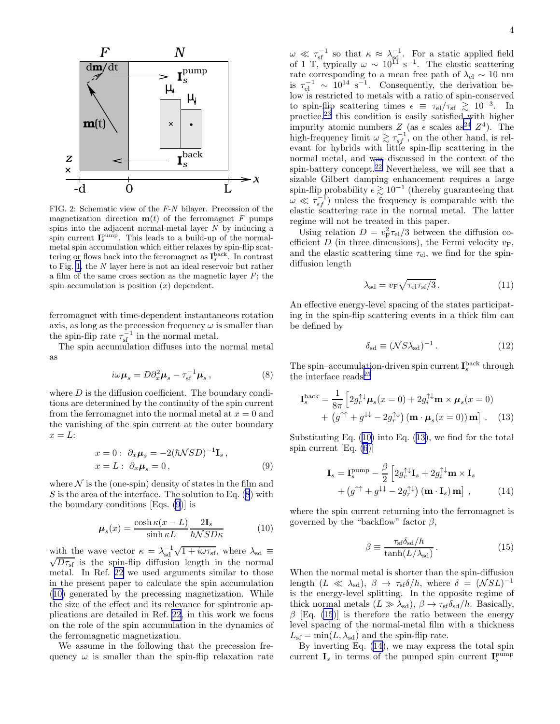<span id="page-3-0"></span>

FIG. 2: Schematic view of the F-N bilayer. Precession of the magnetization direction  $\mathbf{m}(t)$  of the ferromagnet F pumps spins into the adjacent normal-metal layer  $N$  by inducing a spin current  $I_s^{pump}$ . This leads to a build-up of the normalmetal spin accumulation which either relaxes by spin-flip scattering or flows back into the ferromagnet as  $I_s^{\text{back}}$ . In contrast to Fig. [1,](#page-1-0) the N layer here is not an ideal reservoir but rather a film of the same cross section as the magnetic layer  $F$ ; the spin accumulation is position  $(x)$  dependent.

ferromagnet with time-dependent instantaneous rotation axis, as long as the precession frequency  $\omega$  is smaller than the spin-flip rate  $\tau_{\rm sf}^{-1}$  in the normal metal.

The spin accumulation diffuses into the normal metal as

$$
i\omega \mu_s = D\partial_x^2 \mu_s - \tau_{\rm sf}^{-1} \mu_s \,, \tag{8}
$$

where  $D$  is the diffusion coefficient. The boundary conditions are determined by the continuity of the spin current from the ferromagnet into the normal metal at  $x = 0$  and the vanishing of the spin current at the outer boundary  $x = L$ :

$$
x = 0: \partial_x \mu_s = -2(\hbar \mathcal{N}SD)^{-1} \mathbf{I}_s, x = L: \partial_x \mu_s = 0,
$$
 (9)

where  $\mathcal N$  is the (one-spin) density of states in the film and S is the area of the interface. The solution to Eq.  $(8)$  with the boundary conditions [Eqs. (9)] is

$$
\mu_s(x) = \frac{\cosh \kappa (x - L)}{\sinh \kappa L} \frac{2I_s}{\hbar \mathcal{N} S D \kappa} \tag{10}
$$

with the wave vector  $\kappa = \lambda_{sd}^{-1} \sqrt{1 + i \omega \tau_{sf}}$ , where  $\lambda_{sd} \equiv \sqrt{D \tau_{s}}$  is the spin-flip diffusion length in the normal  $\sqrt{D\tau_{\rm sf}}$  is the spin-flip diffusion length in the normal metal. In Ref. [22](#page-9-0) we used arguments similar to those in the present paper to calculate the spin accumulation (10) generated by the precessing magnetization. While the size of the effect and its relevance for spintronic applications are detailed in Ref. [22](#page-9-0), in this work we focus on the role of the spin accumulation in the dynamics of the ferromagnetic magnetization.

We assume in the following that the precession frequency  $\omega$  is smaller than the spin-flip relaxation rate

 $\omega \ll \tau_{\rm sf}^{-1}$  so that  $\kappa \approx \lambda_{\rm sf}^{-1}$ . For a static applied field of 1 T, typically  $\omega \sim 10^{11} \text{ s}^{-1}$ . The elastic scattering rate corresponding to a mean free path of  $\lambda_{el} \sim 10 \text{ nm}$ is  $\tau_{el}^{-1} \sim 10^{14} \text{ s}^{-1}$ . Consequently, the derivation below is restricted to metals with a ratio of spin-conserved to spin-flip scattering times  $\epsilon \equiv \tau_{\rm el}/\tau_{\rm sf} \gtrsim 10^{-3}$ . In practice, $^{23}$  $^{23}$  $^{23}$  this condition is easily satisfied with higher impurity atomic numbers  $Z$  (as  $\epsilon$  scales as<sup>[24](#page-9-0)</sup>  $Z^4$ ). The high-frequency limit  $\omega \gtrsim \tau_{sf}^{-1}$ , on the other hand, is relevant for hybrids with little spin-flip scattering in the normal metal, and was discussed in the context of the spin-battery concept.[22](#page-9-0) Nevertheless, we will see that a sizable Gilbert damping enhancement requires a large spin-flip probability  $\epsilon \gtrsim 10^{-1}$  (thereby guaranteeing that  $\omega \ll \tau_{sf}^{-1}$ ) unless the frequency is comparable with the elastic scattering rate in the normal metal. The latter regime will not be treated in this paper.

Using relation  $D = v_{\rm F}^2 \tau_{\rm el}/3$  between the diffusion coefficient  $D$  (in three dimensions), the Fermi velocity  $v_F$ , and the elastic scattering time  $\tau_{el}$ , we find for the spindiffusion length

$$
\lambda_{\rm sd} = v_{\rm F} \sqrt{\tau_{\rm el} \tau_{\rm sf}/3} \,. \tag{11}
$$

An effective energy-level spacing of the states participating in the spin-flip scattering events in a thick film can be defined by

$$
\delta_{\rm sd} \equiv (\mathcal{N} S \lambda_{\rm sd})^{-1} \,. \tag{12}
$$

The spin–accumulation-driven spin current  $I_s^{\text{back}}$  through the interface reads  $^{25}$  $^{25}$  $^{25}$ 

$$
\mathbf{I}_{s}^{\text{back}} = \frac{1}{8\pi} \left[ 2g_{r}^{\uparrow\downarrow}\boldsymbol{\mu}_{s}(x=0) + 2g_{i}^{\uparrow\downarrow}\mathbf{m} \times \boldsymbol{\mu}_{s}(x=0) + (g^{\uparrow\uparrow} + g^{\downarrow\downarrow} - 2g_{r}^{\uparrow\downarrow}) (\mathbf{m} \cdot \boldsymbol{\mu}_{s}(x=0)) \mathbf{m} \right]. \quad (13)
$$

Substituting Eq. (10) into Eq. (13), we find for the total spin current [Eq. [\(6](#page-2-0))]

$$
\mathbf{I}_s = \mathbf{I}_s^{\text{pump}} - \frac{\beta}{2} \left[ 2g_r^{\uparrow\downarrow} \mathbf{I}_s + 2g_i^{\uparrow\downarrow} \mathbf{m} \times \mathbf{I}_s + (g^{\uparrow\uparrow} + g^{\downarrow\downarrow} - 2g_r^{\uparrow\downarrow}) (\mathbf{m} \cdot \mathbf{I}_s) \mathbf{m} \right], \tag{14}
$$

where the spin current returning into the ferromagnet is governed by the "backflow" factor  $\beta$ ,

$$
\beta \equiv \frac{\tau_{\rm sf} \delta_{\rm sd}/h}{\tanh(L/\lambda_{\rm sd})} \,. \tag{15}
$$

When the normal metal is shorter than the spin-diffusion length  $(L \ll \lambda_{sd})$ ,  $\beta \rightarrow \tau_{sf} \delta / h$ , where  $\delta = (NSL)^{-1}$ is the energy-level splitting. In the opposite regime of thick normal metals  $(L \gg \lambda_{sd})$ ,  $\beta \rightarrow \tau_{sf} \delta_{sd}/h$ . Basically, β [Eq. (15)] is therefore the ratio between the energy level spacing of the normal-metal film with a thickness  $L_{\rm sf} = \min(L, \lambda_{\rm sd})$  and the spin-flip rate.

By inverting Eq. (14), we may express the total spin current  $I_s$  in terms of the pumped spin current  $I_s^{pump}$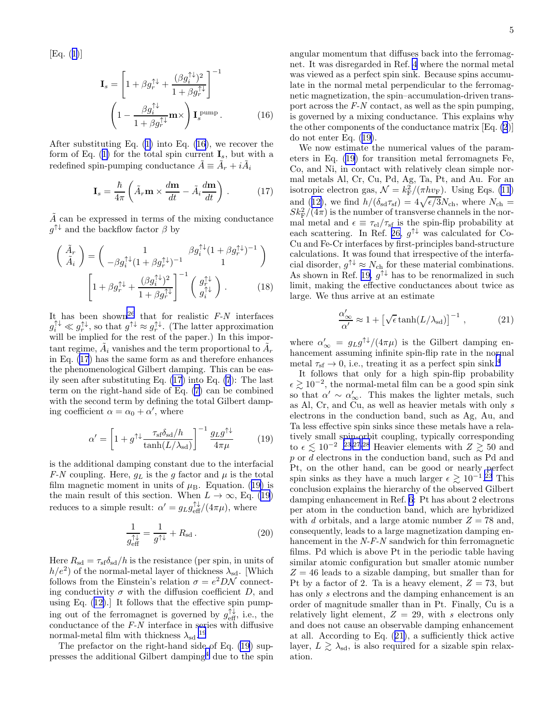<span id="page-4-0"></span>[Eq.([1\)](#page-1-0)]

$$
\mathbf{I}_{s} = \left[ 1 + \beta g_{r}^{\uparrow\downarrow} + \frac{(\beta g_{i}^{\uparrow\downarrow})^{2}}{1 + \beta g_{r}^{\uparrow\downarrow}} \right]^{-1}
$$

$$
\left( 1 - \frac{\beta g_{i}^{\uparrow\downarrow}}{1 + \beta g_{r}^{\uparrow\downarrow}} \mathbf{m} \times \right) \mathbf{I}_{s}^{\text{pump}}.
$$
(16)

After substituting Eq. [\(1](#page-1-0)) into Eq. (16), we recover the formof Eq. ([1\)](#page-1-0) for the total spin current  $\mathbf{I}_s$ , but with a redefined spin-pumping conductance  $\tilde{A} \equiv \tilde{A}_r + i \tilde{A}_i$ 

$$
\mathbf{I}_s = \frac{\hbar}{4\pi} \left( \tilde{A}_r \mathbf{m} \times \frac{d\mathbf{m}}{dt} - \tilde{A}_i \frac{d\mathbf{m}}{dt} \right) . \tag{17}
$$

 $\ddot{A}$  can be expressed in terms of the mixing conductance  $g^{\uparrow\downarrow}$  and the backflow factor  $\beta$  by

$$
\begin{pmatrix}\n\tilde{A}_r \\
\tilde{A}_i\n\end{pmatrix} = \begin{pmatrix}\n1 & \beta g_i^{\uparrow\downarrow}(1 + \beta g_r^{\uparrow\downarrow})^{-1} \\
-\beta g_i^{\uparrow\downarrow}(1 + \beta g_r^{\uparrow\downarrow})^{-1} & 1\n\end{pmatrix}
$$
\n
$$
\begin{bmatrix}\n1 + \beta g_r^{\uparrow\downarrow} + \frac{(\beta g_i^{\uparrow\downarrow})^2}{1 + \beta g_r^{\uparrow\downarrow}}\n\end{bmatrix}^{-1} \begin{pmatrix}\ng_r^{\uparrow\downarrow} \\
g_i^{\uparrow\downarrow}\n\end{pmatrix}.
$$
\n(18)

It has been shown<sup>[26](#page-9-0)</sup> that for realistic  $F-N$  interfaces  $g_i^{\uparrow\downarrow} \ll g_r^{\uparrow\downarrow}$ , so that  $g^{\uparrow\downarrow} \approx g_r^{\uparrow\downarrow}$ . (The latter approximation will be implied for the rest of the paper.) In this important regime,  $\tilde{A}_i$  vanishes and the term proportional to  $\tilde{A}_r$ in Eq. (17) has the same form as and therefore enhances the phenomenological Gilbert damping. This can be easily seen after substituting Eq. (17) into Eq. [\(7](#page-2-0)): The last term on the right-hand side of Eq. [\(7](#page-2-0)) can be combined with the second term by defining the total Gilbert damping coefficient  $\alpha = \alpha_0 + \alpha'$ , where

$$
\alpha' = \left[1 + g^{\uparrow\downarrow} \frac{\tau_{\rm sf} \delta_{\rm sd}/h}{\tanh(L/\lambda_{\rm sd})}\right]^{-1} \frac{g_L g^{\uparrow\downarrow}}{4\pi\mu} \tag{19}
$$

is the additional damping constant due to the interfacial F-N coupling. Here,  $g_L$  is the g factor and  $\mu$  is the total film magnetic moment in units of  $\mu_{\rm B}$ . Equation. (19) is the main result of this section. When  $L \to \infty$ , Eq. (19) reduces to a simple result:  $\alpha' = g_L g_{\text{eff}}^{\uparrow \downarrow} / (4\pi \mu)$ , where

$$
\frac{1}{g_{\text{eff}}^{\uparrow\downarrow}} = \frac{1}{g^{\uparrow\downarrow}} + R_{\text{sd}}.
$$
 (20)

Here  $R_{sd} = \tau_{sf} \delta_{sd} / h$  is the resistance (per spin, in units of  $h/e<sup>2</sup>$ ) of the normal-metal layer of thickness  $\lambda_{sd}$ . [Which follows from the Einstein's relation  $\sigma = e^2 D \mathcal{N}$  connecting conductivity  $\sigma$  with the diffusion coefficient D, and using Eq.([12\)](#page-3-0).] It follows that the effective spin pumping out of the ferromagnet is governed by  $g_{\text{eff}}^{\uparrow\downarrow}$ , i.e., the conductance of the F-N interface in series with diffusive normal-metal film with thickness  $\lambda_{\rm sd}.^{19}$  $\lambda_{\rm sd}.^{19}$  $\lambda_{\rm sd}.^{19}$ 

The prefactor on the right-hand side of Eq. (19) sup-presses the additional Gilbert damping<sup>[4](#page-9-0)</sup> due to the spin angular momentum that diffuses back into the ferromagnet. It was disregarded in Ref. [4](#page-9-0) where the normal metal was viewed as a perfect spin sink. Because spins accumulate in the normal metal perpendicular to the ferromagnetic magnetization, the spin–accumulation-driven transport across the F-N contact, as well as the spin pumping, is governed by a mixing conductance. This explains why the other components of the conductance matrix [Eq. [\(2](#page-1-0))] do not enter Eq. (19).

We now estimate the numerical values of the parameters in Eq. (19) for transition metal ferromagnets Fe, Co, and Ni, in contact with relatively clean simple normal metals Al, Cr, Cu, Pd, Ag, Ta, Pt, and Au. For an isotropic electron gas,  $\mathcal{N} = k_{\rm F}^2 / (\pi h v_{\rm F})$ . Using Eqs. [\(11](#page-3-0)) and([12\)](#page-3-0), we find  $h/(\delta_{sd}\tau_{sf}) = 4\sqrt{\epsilon/3}N_{ch}$ , where  $N_{ch} =$  $Sk_{\text{F}}^2/(4\pi)$  is the number of transverse channels in the normal metal and  $\epsilon \equiv \tau_{\rm el}/\tau_{\rm sf}$  is the spin-flip probability at each scattering. In Ref. [26,](#page-9-0)  $g^{\uparrow\downarrow}$  was calculated for Co-Cu and Fe-Cr interfaces by first-principles band-structure calculations. It was found that irrespective of the interfacial disorder,  $g^{\uparrow\downarrow} \approx N_{\text{ch}}$  for these material combinations. As shown in Ref. [19,](#page-9-0)  $g^{\uparrow\downarrow}$  has to be renormalized in such limit, making the effective conductances about twice as large. We thus arrive at an estimate

$$
\frac{\alpha'_{\infty}}{\alpha'} \approx 1 + \left[ \sqrt{\epsilon} \tanh(L/\lambda_{\rm sd}) \right]^{-1}, \tag{21}
$$

where  $\alpha'_{\infty} = g_L g^{\uparrow\downarrow}/(4\pi\mu)$  is the Gilbert damping enhancement assuming infinite spin-flip rate in the normal metal  $\tau_{\rm sf} \rightarrow 0$ , i.e., treating it as a perfect spin sink.<sup>[4](#page-9-0)</sup>

It follows that only for a high spin-flip probability  $\epsilon \gtrsim 10^{-2}$ , the normal-metal film can be a good spin sink so that  $\alpha' \sim \alpha'_{\infty}$ . This makes the lighter metals, such as Al, Cr, and Cu, as well as heavier metals with only s electrons in the conduction band, such as Ag, Au, and Ta less effective spin sinks since these metals have a relatively small spin-orbit coupling, typically corresponding to  $\epsilon \lesssim 10^{-2}$ .<sup>[23,27,28](#page-9-0)</sup> Heavier elements with  $Z \gtrsim 50$  and p or d electrons in the conduction band, such as Pd and Pt, on the other hand, can be good or nearly perfect spin sinks as they have a much larger  $\epsilon \gtrsim 10^{-1}$ .<sup>[23](#page-9-0)</sup> This conclusion explains the hierarchy of the observed Gilbert damping enhancement in Ref. [6](#page-9-0): Pt has about 2 electrons per atom in the conduction band, which are hybridized with d orbitals, and a large atomic number  $Z = 78$  and, consequently, leads to a large magnetization damping enhancement in the N-F-N sandwich for thin ferromagnetic films. Pd which is above Pt in the periodic table having similar atomic configuration but smaller atomic number  $Z = 46$  leads to a sizable damping, but smaller than for Pt by a factor of 2. Ta is a heavy element,  $Z = 73$ , but has only s electrons and the damping enhancement is an order of magnitude smaller than in Pt. Finally, Cu is a relatively light element,  $Z = 29$ , with s electrons only and does not cause an observable damping enhancement at all. According to Eq. (21), a sufficiently thick active layer,  $L \gtrsim \lambda_{sd}$ , is also required for a sizable spin relaxation.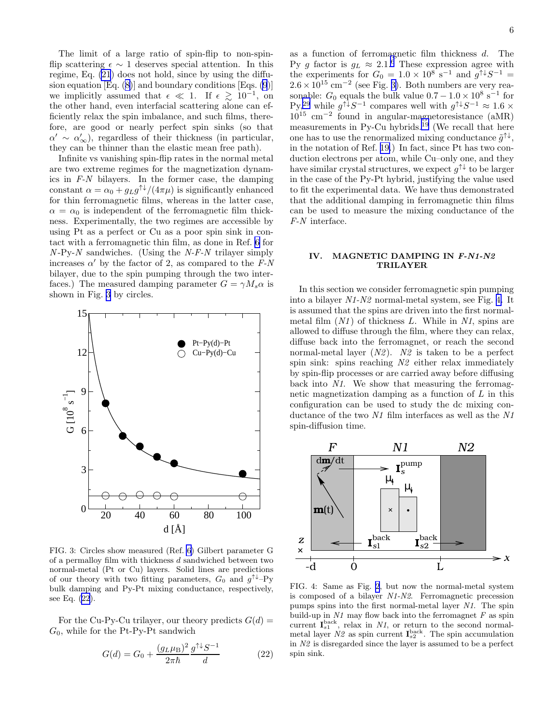<span id="page-5-0"></span>The limit of a large ratio of spin-flip to non-spinflip scattering  $\epsilon \sim 1$  deserves special attention. In this regime, Eq. [\(21](#page-4-0)) does not hold, since by using the diffusionequation  $[Eq. (8)]$  $[Eq. (8)]$  $[Eq. (8)]$  and boundary conditions  $[Eqs. (9)]$  $[Eqs. (9)]$  $[Eqs. (9)]$ we implicitly assumed that  $\epsilon \ll 1$ . If  $\epsilon \gtrsim 10^{-1}$ , on the other hand, even interfacial scattering alone can efficiently relax the spin imbalance, and such films, therefore, are good or nearly perfect spin sinks (so that  $\alpha' \sim \alpha'_{\infty}$ ), regardless of their thickness (in particular, they can be thinner than the elastic mean free path).

Infinite vs vanishing spin-flip rates in the normal metal are two extreme regimes for the magnetization dynamics in F-N bilayers. In the former case, the damping constant  $\alpha = \alpha_0 + g_L g^{\uparrow\downarrow}/(4\pi\mu)$  is significantly enhanced for thin ferromagnetic films, whereas in the latter case,  $\alpha = \alpha_0$  is independent of the ferromagnetic film thickness. Experimentally, the two regimes are accessible by using Pt as a perfect or Cu as a poor spin sink in contact with a ferromagnetic thin film, as done in Ref. [6](#page-9-0) for  $N-Py-N$  sandwiches. (Using the N-F-N trilayer simply increases  $\alpha'$  by the factor of 2, as compared to the  $F-N$ bilayer, due to the spin pumping through the two interfaces.) The measured damping parameter  $G = \gamma M_s \alpha$  is shown in Fig. 3 by circles.



FIG. 3: Circles show measured (Ref. [6](#page-9-0)) Gilbert parameter G of a permalloy film with thickness d sandwiched between two normal-metal (Pt or Cu) layers. Solid lines are predictions of our theory with two fitting parameters,  $G_0$  and  $g^{\uparrow\downarrow}$ -Py bulk damping and Py-Pt mixing conductance, respectively, see Eq. (22).

For the Cu-Py-Cu trilayer, our theory predicts  $G(d)$  =  $G_0$ , while for the Pt-Py-Pt sandwich

$$
G(d) = G_0 + \frac{(g_L \mu_B)^2}{2\pi \hbar} \frac{g^{\uparrow \downarrow} S^{-1}}{d} \tag{22}
$$

as a function of ferromagnetic film thickness d. The Py g factor is  $g_L \approx 2.1$ .<sup>[6](#page-9-0)</sup> These expression agree with the experiments for  $G_0 = 1.0 \times 10^8$  s<sup>-1</sup> and  $g^{\uparrow\downarrow}S^{-1}$  =  $2.6 \times 10^{15}$  cm<sup>-2</sup> (see Fig. 3). Both numbers are very reasonable:  $G_0$  equals the bulk value  $0.7 - 1.0 \times 10^8$  s<sup>-1</sup> for  $Py<sub>i</sub><sup>29</sup>$  $Py<sub>i</sub><sup>29</sup>$  $Py<sub>i</sub><sup>29</sup>$  while  $g<sup>\uparrow</sup> S<sup>-1</sup>$  compares well with  $g<sup>\uparrow</sup> S<sup>-1</sup> \approx 1.6 \times$ 10<sup>15</sup> cm−<sup>2</sup> found in angular-magnetoresistance (aMR) measurements in Py-Cu hybrids.<sup>[19](#page-9-0)</sup> (We recall that here one has to use the renormalized mixing conductance  $\tilde{g}^{\uparrow\downarrow}$ , in the notation of Ref. [19.](#page-9-0)) In fact, since Pt has two conduction electrons per atom, while Cu–only one, and they have similar crystal structures, we expect  $g^{\uparrow\downarrow}$  to be larger in the case of the Py-Pt hybrid, justifying the value used to fit the experimental data. We have thus demonstrated that the additional damping in ferromagnetic thin films can be used to measure the mixing conductance of the F-N interface.

## IV. MAGNETIC DAMPING IN F-N1-N2 TRILAYER

In this section we consider ferromagnetic spin pumping into a bilayer N1-N2 normal-metal system, see Fig. 4. It is assumed that the spins are driven into the first normalmetal film  $(N1)$  of thickness L. While in N1, spins are allowed to diffuse through the film, where they can relax, diffuse back into the ferromagnet, or reach the second normal-metal layer  $(N2)$ . N2 is taken to be a perfect spin sink: spins reaching N2 either relax immediately by spin-flip processes or are carried away before diffusing back into N1. We show that measuring the ferromagnetic magnetization damping as a function of  $L$  in this configuration can be used to study the dc mixing conductance of the two  $N1$  film interfaces as well as the  $N1$ spin-diffusion time.



FIG. 4: Same as Fig. [2](#page-3-0), but now the normal-metal system is composed of a bilayer N1-N2. Ferromagnetic precession pumps spins into the first normal-metal layer N1. The spin build-up in  $N1$  may flow back into the ferromagnet  $F$  as spin current  $I_{s_1}^{\text{back}}$ , relax in N1, or return to the second normalmetal layer  $N2$  as spin current  $I_{s2}^{back}$ . The spin accumulation in N2 is disregarded since the layer is assumed to be a perfect spin sink.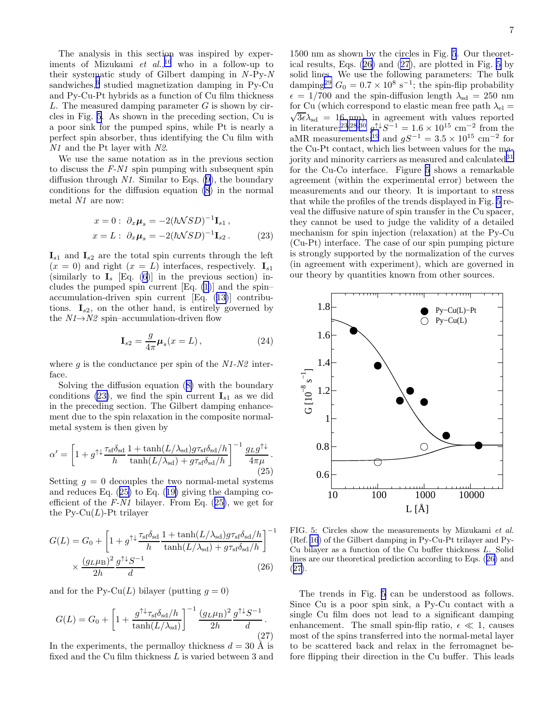<span id="page-6-0"></span>The analysis in this section was inspired by experiments of Mizukami *et al.*,<sup>[16](#page-9-0)</sup> who in a follow-up to their systematic study of Gilbert damping in  $N-Py-N$ sandwiches,<sup>[6](#page-9-0)</sup> studied magnetization damping in Py-Cu and Py-Cu-Pt hybrids as a function of Cu film thickness L. The measured damping parameter  $G$  is shown by circles in Fig. 5. As shown in the preceding section, Cu is a poor sink for the pumped spins, while Pt is nearly a perfect spin absorber, thus identifying the Cu film with N1 and the Pt layer with N2.

We use the same notation as in the previous section to discuss the  $F-N1$  spin pumping with subsequent spin diffusion through  $N1$ . Similar to Eqs. [\(9](#page-3-0)), the boundary conditions for the diffusion equation [\(8](#page-3-0)) in the normal metal N1 are now:

$$
x = 0: \ \partial_x \mu_s = -2(\hbar NSD)^{-1}I_{s1},
$$
  
\n
$$
x = L: \ \partial_x \mu_s = -2(\hbar NSD)^{-1}I_{s2}. \tag{23}
$$

 $\mathbf{I}_{s1}$  and  $\mathbf{I}_{s2}$  are the total spin currents through the left  $(x = 0)$  and right  $(x = L)$  interfaces, respectively.  $I_{s1}$ (similarly to  $I_s$  [Eq. [\(6](#page-2-0))] in the previous section) includes the pumped spin current  $[Eq. (1)]$  $[Eq. (1)]$  $[Eq. (1)]$  and the spin– accumulation-driven spin current [Eq.([13\)](#page-3-0)] contributions.  $I_{s2}$ , on the other hand, is entirely governed by the  $N1\rightarrow N2$  spin–accumulation-driven flow

$$
\mathbf{I}_{s2} = \frac{g}{4\pi} \boldsymbol{\mu}_s(x=L), \qquad (24)
$$

where q is the conductance per spin of the  $N1-N2$  interface.

Solving the diffusion equation([8\)](#page-3-0) with the boundary conditions (23), we find the spin current  $I_{s1}$  as we did in the preceding section. The Gilbert damping enhancement due to the spin relaxation in the composite normalmetal system is then given by

$$
\alpha' = \left[1 + g^{\uparrow\downarrow} \frac{\tau_{\rm sf} \delta_{\rm sd}}{h} \frac{1 + \tanh(L/\lambda_{\rm sd}) g \tau_{\rm sf} \delta_{\rm sd}/h}{\tanh(L/\lambda_{\rm sd}) + g \tau_{\rm sf} \delta_{\rm sd}/h}\right]^{-1} \frac{g_L g^{\uparrow\downarrow}}{4\pi\mu}.
$$
\n(25)

Setting  $g = 0$  decouples the two normal-metal systems and reduces Eq. (25) to Eq.([19\)](#page-4-0) giving the damping coefficient of the  $F-N1$  bilayer. From Eq. (25), we get for the  $Py-Cu(L)$ -Pt trilayer

$$
G(L) = G_0 + \left[1 + g^{\uparrow\downarrow} \frac{\tau_{\text{sf}} \delta_{\text{sd}}}{h} \frac{1 + \tanh(L/\lambda_{\text{sd}}) g \tau_{\text{sf}} \delta_{\text{sd}}/h}{\tanh(L/\lambda_{\text{sd}}) + g \tau_{\text{sf}} \delta_{\text{sd}}/h}\right]^{-1} \times \frac{(g_L \mu_B)^2}{2h} \frac{g^{\uparrow\downarrow} S^{-1}}{d} \tag{26}
$$

and for the  $P_Y\text{-Cu}(L)$  bilayer (putting  $q=0$ )

$$
G(L) = G_0 + \left[1 + \frac{g^{\uparrow\downarrow}\tau_{\text{sf}}\delta_{\text{sd}}/h}{\tanh(L/\lambda_{\text{sd}})}\right]^{-1} \frac{(g_L\mu_B)^2}{2h} \frac{g^{\uparrow\downarrow}S^{-1}}{d}.
$$
\n(27)

In the experiments, the permalloy thickness  $d = 30$  Å is fixed and the Cu film thickness L is varied between 3 and

1500 nm as shown by the circles in Fig. 5. Our theoretical results, Eqs. (26) and (27), are plotted in Fig. 5 by solid lines. We use the following parameters: The bulk damping<sup>[29](#page-9-0)</sup>  $G_0 = 0.7 \times 10^8 \text{ s}^{-1}$ ; the spin-flip probability  $\epsilon = 1/700$  and the spin-diffusion length  $\lambda_{sd} = 250$  nm for Cu (which correspond to elastic mean free path  $\lambda_{el} =$  $3\epsilon\lambda_{sd} = 16$  nm), in agreement with values reported in literature;<sup>[23,28](#page-9-0),[30](#page-9-0)</sup>  $g^{\uparrow\downarrow}S^{-1} = 1.6 \times 10^{15}$  cm<sup>-2</sup> from the aMR measurements;<sup>[19](#page-9-0)</sup> and  $gS^{-1} = 3.5 \times 10^{15}$  cm<sup>-2</sup> for the Cu-Pt contact, which lies between values for the ma-jority and minority carriers as measured and calculated<sup>[31](#page-9-0)</sup> for the Cu-Co interface. Figure 5 shows a remarkable agreement (within the experimental error) between the measurements and our theory. It is important to stress that while the profiles of the trends displayed in Fig. 5 reveal the diffusive nature of spin transfer in the Cu spacer, they cannot be used to judge the validity of a detailed mechanism for spin injection (relaxation) at the Py-Cu (Cu-Pt) interface. The case of our spin pumping picture is strongly supported by the normalization of the curves (in agreement with experiment), which are governed in our theory by quantities known from other sources.



FIG. 5: Circles show the measurements by Mizukami et al. (Ref. [16](#page-9-0)) of the Gilbert damping in Py-Cu-Pt trilayer and Py-Cu bilayer as a function of the Cu buffer thickness L. Solid lines are our theoretical prediction according to Eqs. (26) and (27).

The trends in Fig. 5 can be understood as follows. Since Cu is a poor spin sink, a Py-Cu contact with a single Cu film does not lead to a significant damping enhancement. The small spin-flip ratio,  $\epsilon \ll 1$ , causes most of the spins transferred into the normal-metal layer to be scattered back and relax in the ferromagnet before flipping their direction in the Cu buffer. This leads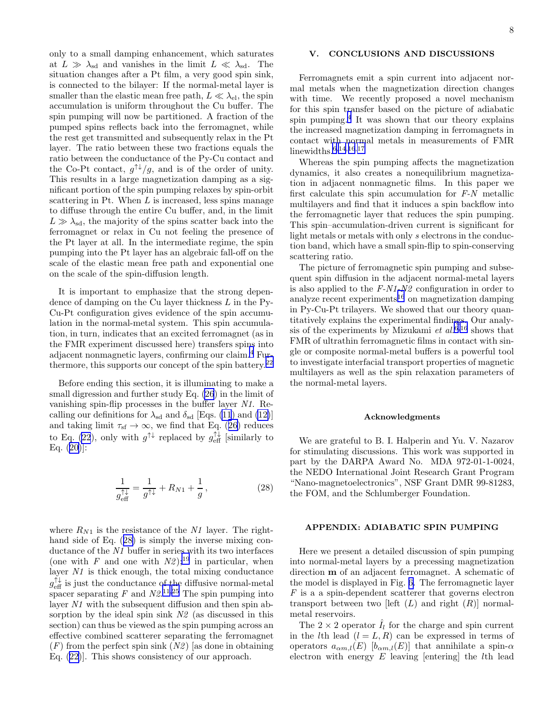<span id="page-7-0"></span>only to a small damping enhancement, which saturates at  $L \gg \lambda_{sd}$  and vanishes in the limit  $L \ll \lambda_{sd}$ . The situation changes after a Pt film, a very good spin sink, is connected to the bilayer: If the normal-metal layer is smaller than the elastic mean free path,  $L \ll \lambda_{el}$ , the spin accumulation is uniform throughout the Cu buffer. The spin pumping will now be partitioned. A fraction of the pumped spins reflects back into the ferromagnet, while the rest get transmitted and subsequently relax in the Pt layer. The ratio between these two fractions equals the ratio between the conductance of the Py-Cu contact and the Co-Pt contact,  $g^{\uparrow\downarrow}/g$ , and is of the order of unity. This results in a large magnetization damping as a significant portion of the spin pumping relaxes by spin-orbit scattering in Pt. When  $L$  is increased, less spins manage to diffuse through the entire Cu buffer, and, in the limit  $L \gg \lambda_{sd}$ , the majority of the spins scatter back into the ferromagnet or relax in Cu not feeling the presence of the Pt layer at all. In the intermediate regime, the spin pumping into the Pt layer has an algebraic fall-off on the scale of the elastic mean free path and exponential one on the scale of the spin-diffusion length.

It is important to emphasize that the strong dependence of damping on the Cu layer thickness  $L$  in the Py-Cu-Pt configuration gives evidence of the spin accumulation in the normal-metal system. This spin accumulation, in turn, indicates that an excited ferromagnet (as in the FMR experiment discussed here) transfers spins into adjacent nonmagnetic layers, confirming our claim.[4](#page-9-0) Furthermore, this supports our concept of the spin battery.[22](#page-9-0)

Before ending this section, it is illuminating to make a small digression and further study Eq. [\(26](#page-6-0)) in the limit of vanishing spin-flip processes in the buffer layer N1. Recalling our definitions for  $\lambda_{sd}$  and  $\delta_{sd}$  [Eqs. [\(11](#page-3-0)) and [\(12\)](#page-3-0)] andtaking limit  $\tau_{\text{sf}} \to \infty$ , we find that Eq. ([26\)](#page-6-0) reduces to Eq. [\(22](#page-5-0)), only with  $g^{\uparrow\downarrow}$  replaced by  $g_{\text{eff}}^{\uparrow\downarrow}$  [similarly to Eq.([20](#page-4-0))]:

$$
\frac{1}{g_{\text{eff}}^{\uparrow\downarrow}} = \frac{1}{g^{\uparrow\downarrow}} + R_{N1} + \frac{1}{g},\qquad(28)
$$

where  $R_{N1}$  is the resistance of the N1 layer. The righthand side of Eq. (28) is simply the inverse mixing conductance of the N1 buffer in series with its two interfaces (one with F and one with  $N2$ );<sup>[19](#page-9-0)</sup> in particular, when layer  $N1$  is thick enough, the total mixing conductance  $g_{\text{eff}}^{\uparrow\downarrow}$  is just the conductance of the diffusive normal-metal spacer separating  $F$  and  $N2^{11,25}$  $N2^{11,25}$  $N2^{11,25}$  The spin pumping into layer N1 with the subsequent diffusion and then spin absorption by the ideal spin sink  $N2$  (as discussed in this section) can thus be viewed as the spin pumping across an effective combined scatterer separating the ferromagnet  $(F)$  from the perfect spin sink  $(N2)$  [as done in obtaining Eq.([22](#page-5-0))]. This shows consistency of our approach.

## V. CONCLUSIONS AND DISCUSSIONS

Ferromagnets emit a spin current into adjacent normal metals when the magnetization direction changes with time. We recently proposed a novel mechanism for this spin transfer based on the picture of adiabatic spin pumping.[4](#page-9-0) It was shown that our theory explains the increased magnetization damping in ferromagnets in contact with normal metals in measurements of FMR linewidths. $6,14,16,17$  $6,14,16,17$  $6,14,16,17$  $6,14,16,17$  $6,14,16,17$ 

Whereas the spin pumping affects the magnetization dynamics, it also creates a nonequilibrium magnetization in adjacent nonmagnetic films. In this paper we first calculate this spin accumulation for F-N metallic multilayers and find that it induces a spin backflow into the ferromagnetic layer that reduces the spin pumping. This spin–accumulation-driven current is significant for light metals or metals with only s electrons in the conduction band, which have a small spin-flip to spin-conserving scattering ratio.

The picture of ferromagnetic spin pumping and subsequent spin diffusion in the adjacent normal-metal layers is also applied to the  $F-M1-N2$  configuration in order to analyze recent experiments<sup>[16](#page-9-0)</sup> on magnetization damping in Py-Cu-Pt trilayers. We showed that our theory quantitatively explains the experimental findings. Our analysis of the experiments by Mizukami *et al.*<sup>[6,16](#page-9-0)</sup> shows that FMR of ultrathin ferromagnetic films in contact with single or composite normal-metal buffers is a powerful tool to investigate interfacial transport properties of magnetic multilayers as well as the spin relaxation parameters of the normal-metal layers.

#### Acknowledgments

We are grateful to B. I. Halperin and Yu. V. Nazarov for stimulating discussions. This work was supported in part by the DARPA Award No. MDA 972-01-1-0024, the NEDO International Joint Research Grant Program "Nano-magnetoelectronics", NSF Grant DMR 99-81283, the FOM, and the Schlumberger Foundation.

#### APPENDIX: ADIABATIC SPIN PUMPING

Here we present a detailed discussion of spin pumping into normal-metal layers by a precessing magnetization direction m of an adjacent ferromagnet. A schematic of the model is displayed in Fig. [6.](#page-8-0) The ferromagnetic layer F is a a spin-dependent scatterer that governs electron transport between two [left  $(L)$  and right  $(R)$ ] normalmetal reservoirs.

The  $2 \times 2$  operator  $\hat{I}_l$  for the charge and spin current in the *l*th lead  $(l = L, R)$  can be expressed in terms of operators  $a_{\alpha m,l}(E)$  [b<sub> $\alpha m,l(E)$ ]</sub> that annihilate a spin- $\alpha$ electron with energy  $E$  leaving [entering] the  $l$ th lead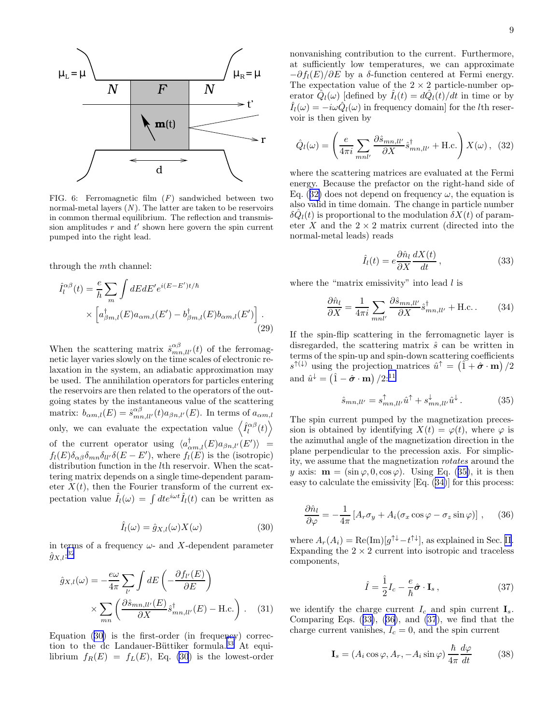<span id="page-8-0"></span>

FIG. 6: Ferromagnetic film (F) sandwiched between two normal-metal layers  $(N)$ . The latter are taken to be reservoirs in common thermal equilibrium. The reflection and transmission amplitudes  $r$  and  $t'$  shown here govern the spin current pumped into the right lead.

through the mth channel:

$$
\hat{I}_l^{\alpha\beta}(t) = \frac{e}{h} \sum_m \int dE dE' e^{i(E - E')t/\hbar} \times \left[ a_{\beta m,l}^{\dagger}(E) a_{\alpha m,l}(E') - b_{\beta m,l}^{\dagger}(E) b_{\alpha m,l}(E') \right].
$$
\n(29)

When the scattering matrix  $\hat{s}_{mn,ll'}^{\alpha\beta}(t)$  of the ferromagnetic layer varies slowly on the time scales of electronic relaxation in the system, an adiabatic approximation may be used. The annihilation operators for particles entering the reservoirs are then related to the operators of the outgoing states by the instantaneous value of the scattering matrix:  $b_{\alpha m,l}(E) = \hat{s}_{mn,l}^{\alpha \beta}(t) a_{\beta n,l'}(E)$ . In terms of  $a_{\alpha m,l}$ only, we can evaluate the expectation value  $\langle \hat{I}_l^{\alpha\beta}(t) \rangle$ of the current operator using  $\langle a_{\alpha m,l}^{\dagger}(E) a_{\beta n,l'}(E') \rangle =$  $f_l(E)\delta_{\alpha\beta}\delta_{mn}\delta_{ll'}\delta(E-E'),$  where  $f_l(E)$  is the (isotropic) distribution function in the *lth* reservoir. When the scattering matrix depends on a single time-dependent parameter  $X(t)$ , then the Fourier transform of the current expectation value  $\hat{I}_{l}(\omega) = \int dt e^{i\omega t} \hat{I}_{l}(t)$  can be written as

$$
\hat{I}_l(\omega) = \hat{g}_{X,l}(\omega) X(\omega)
$$
\n(30)

in terms of a frequency  $\omega$ - and X-dependent parameter  $\hat{g}_{X,l}$ :<sup>[32](#page-9-0)</sup>

$$
\hat{g}_{X,l}(\omega) = -\frac{e\omega}{4\pi} \sum_{l'} \int dE \left( -\frac{\partial f_{l'}(E)}{\partial E} \right)
$$

$$
\times \sum_{mn} \left( \frac{\partial \hat{s}_{mn,l'}(E)}{\partial X} \hat{s}_{mn,l'}^{d}(E) - \text{H.c.} \right). \quad (31)
$$

Equation (30) is the first-order (in frequency) correc-tion to the dc Landauer-Büttiker formula.<sup>[33](#page-9-0)</sup> At equilibrium  $f_R(E) = f_L(E)$ , Eq. (30) is the lowest-order

nonvanishing contribution to the current. Furthermore, at sufficiently low temperatures, we can approximate  $-\partial f_l(E)/\partial E$  by a  $\delta$ -function centered at Fermi energy. The expectation value of the  $2 \times 2$  particle-number operator  $\hat{Q}_l(\omega)$  [defined by  $\hat{I}_l(t) = d\hat{Q}_l(t)/dt$  in time or by  $\hat{I}_l(\omega) = -i\omega \hat{Q}_l(\omega)$  in frequency domain] for the *l*th reservoir is then given by

$$
\hat{Q}_{l}(\omega) = \left(\frac{e}{4\pi i} \sum_{mnl'} \frac{\partial \hat{s}_{mn,ll'}}{\partial X} \hat{s}_{mn,ll'}^{\dagger} + \text{H.c.}\right) X(\omega), \tag{32}
$$

where the scattering matrices are evaluated at the Fermi energy. Because the prefactor on the right-hand side of Eq. (32) does not depend on frequency  $\omega$ , the equation is also valid in time domain. The change in particle number  $\delta \hat{Q}_l(t)$  is proportional to the modulation  $\delta X(t)$  of parameter  $X$  and the  $2 \times 2$  matrix current (directed into the normal-metal leads) reads

$$
\hat{I}_l(t) = e \frac{\partial \hat{n}_l}{\partial X} \frac{dX(t)}{dt},\qquad(33)
$$

where the "matrix emissivity" into lead  $l$  is

$$
\frac{\partial \hat{n}_l}{\partial X} = \frac{1}{4\pi i} \sum_{mnl'} \frac{\partial \hat{s}_{mn,l'}}{\partial X} \hat{s}_{mn,l'}^{\dagger} + \text{H.c.} \tag{34}
$$

If the spin-flip scattering in the ferromagnetic layer is disregarded, the scattering matrix  $\hat{s}$  can be written in terms of the spin-up and spin-down scattering coefficients  $s^{\uparrow(\downarrow)}$  using the projection matrices  $\hat{u}^{\uparrow} = (\tilde{1} + \hat{\boldsymbol{\sigma}} \cdot \mathbf{m})/2$ and  $\hat{u}^{\downarrow} = (\hat{1} - \hat{\boldsymbol{\sigma}} \cdot \mathbf{m}) / 2$ :<sup>[11](#page-9-0)</sup>

$$
\hat{s}_{mn,ll'} = s_{mn,ll'}^{\uparrow} \hat{u}^{\uparrow} + s_{mn,ll'}^{\downarrow} \hat{u}^{\downarrow}.
$$
 (35)

The spin current pumped by the magnetization precession is obtained by identifying  $X(t) = \varphi(t)$ , where  $\varphi$  is the azimuthal angle of the magnetization direction in the plane perpendicular to the precession axis. For simplicity, we assume that the magnetization rotates around the y axis:  $\mathbf{m} = (\sin \varphi, 0, \cos \varphi)$ . Using Eq. (35), it is then easy to calculate the emissivity [Eq. (34)] for this process:

$$
\frac{\partial \hat{n}_l}{\partial \varphi} = -\frac{1}{4\pi} \left[ A_r \sigma_y + A_i (\sigma_x \cos \varphi - \sigma_z \sin \varphi) \right], \quad (36)
$$

where  $A_r(A_i) = \text{Re}(\text{Im})[g^{\uparrow\downarrow} - t^{\uparrow\downarrow}],$  as explained in Sec. [II](#page-1-0). Expanding the  $2 \times 2$  current into isotropic and traceless components,

$$
\hat{I} = \frac{\hat{1}}{2}I_c - \frac{e}{\hbar}\hat{\boldsymbol{\sigma}} \cdot \mathbf{I}_s ,
$$
\n(37)

we identify the charge current  $I_c$  and spin current  $\mathbf{I}_s$ . Comparing Eqs. (33), (36), and (37), we find that the charge current vanishes,  $I_c = 0$ , and the spin current

$$
\mathbf{I}_s = (A_i \cos \varphi, A_r, -A_i \sin \varphi) \frac{\hbar}{4\pi} \frac{d\varphi}{dt}
$$
(38)